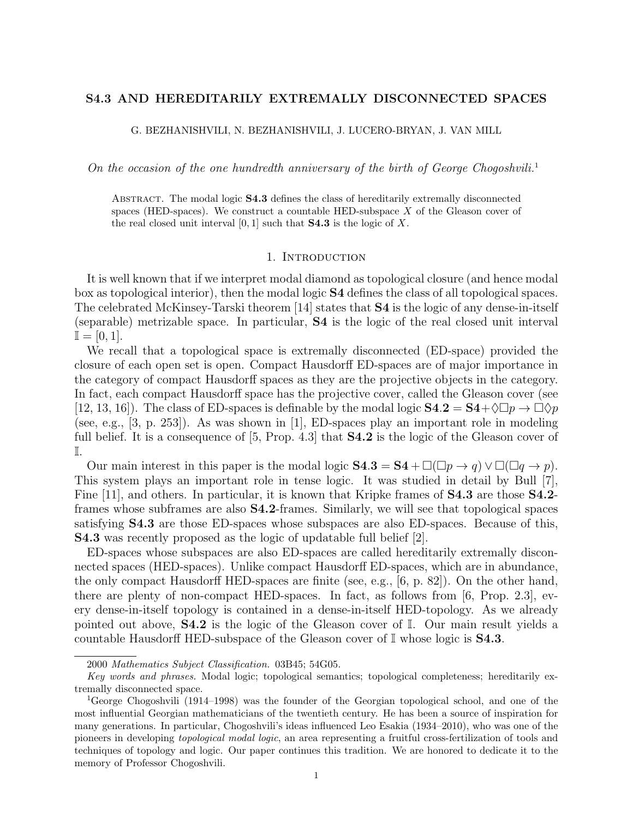# S4.3 AND HEREDITARILY EXTREMALLY DISCONNECTED SPACES

G. BEZHANISHVILI, N. BEZHANISHVILI, J. LUCERO-BRYAN, J. VAN MILL

On the occasion of the one hundredth anniversary of the birth of George Chogoshvili.<sup>1</sup>

ABSTRACT. The modal logic **S4.3** defines the class of hereditarily extremally disconnected spaces (HED-spaces). We construct a countable HED-subspace  $X$  of the Gleason cover of the real closed unit interval  $[0, 1]$  such that **S4.3** is the logic of X.

## 1. INTRODUCTION

It is well known that if we interpret modal diamond as topological closure (and hence modal box as topological interior), then the modal logic S4 defines the class of all topological spaces. The celebrated McKinsey-Tarski theorem [14] states that S4 is the logic of any dense-in-itself (separable) metrizable space. In particular, S4 is the logic of the real closed unit interval  $\mathbb{I} = [0, 1].$ 

We recall that a topological space is extremally disconnected (ED-space) provided the closure of each open set is open. Compact Hausdorff ED-spaces are of major importance in the category of compact Hausdorff spaces as they are the projective objects in the category. In fact, each compact Hausdorff space has the projective cover, called the Gleason cover (see [12, 13, 16]). The class of ED-spaces is definable by the modal logic  $S4.2 = S4 + \sqrt{D} \rightarrow \sqrt{D} \gamma$ (see, e.g., [3, p. 253]). As was shown in [1], ED-spaces play an important role in modeling full belief. It is a consequence of [5, Prop. 4.3] that **S4.2** is the logic of the Gleason cover of I.

Our main interest in this paper is the modal logic  $S4.3 = S4 + \Box(\Box p \rightarrow q) \lor \Box(\Box q \rightarrow p)$ . This system plays an important role in tense logic. It was studied in detail by Bull [7], Fine [11], and others. In particular, it is known that Kripke frames of **S4.3** are those **S4.2**frames whose subframes are also S4.2-frames. Similarly, we will see that topological spaces satisfying S4.3 are those ED-spaces whose subspaces are also ED-spaces. Because of this, S4.3 was recently proposed as the logic of updatable full belief [2].

ED-spaces whose subspaces are also ED-spaces are called hereditarily extremally disconnected spaces (HED-spaces). Unlike compact Hausdorff ED-spaces, which are in abundance, the only compact Hausdorff HED-spaces are finite (see, e.g., [6, p. 82]). On the other hand, there are plenty of non-compact HED-spaces. In fact, as follows from [6, Prop. 2.3], every dense-in-itself topology is contained in a dense-in-itself HED-topology. As we already pointed out above, S4.2 is the logic of the Gleason cover of I. Our main result yields a countable Hausdorff HED-subspace of the Gleason cover of  $\mathbb{I}$  whose logic is **S4.3**.

<sup>2000</sup> Mathematics Subject Classification. 03B45; 54G05.

Key words and phrases. Modal logic; topological semantics; topological completeness; hereditarily extremally disconnected space.

<sup>1</sup>George Chogoshvili (1914–1998) was the founder of the Georgian topological school, and one of the most influential Georgian mathematicians of the twentieth century. He has been a source of inspiration for many generations. In particular, Chogoshvili's ideas influenced Leo Esakia (1934–2010), who was one of the pioneers in developing topological modal logic, an area representing a fruitful cross-fertilization of tools and techniques of topology and logic. Our paper continues this tradition. We are honored to dedicate it to the memory of Professor Chogoshvili.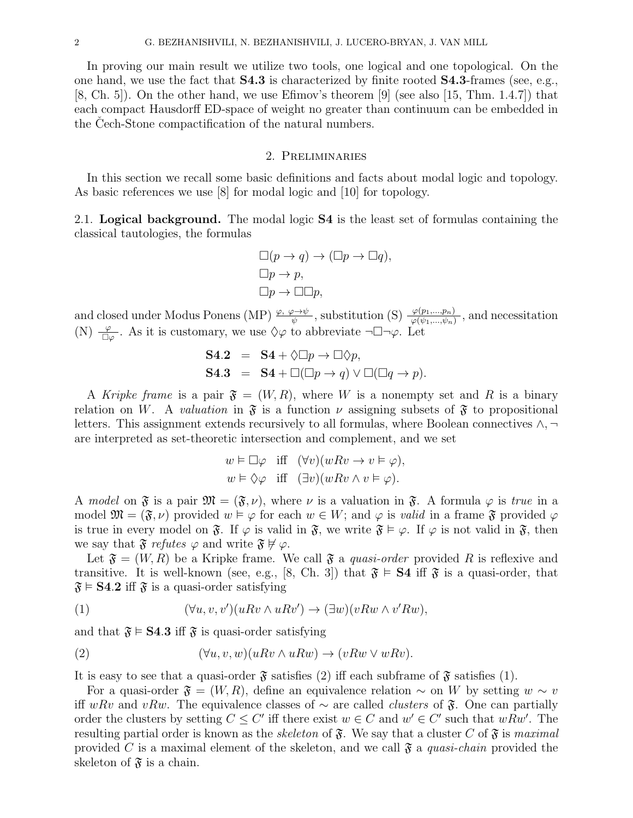In proving our main result we utilize two tools, one logical and one topological. On the one hand, we use the fact that  $S4.3$  is characterized by finite rooted  $S4.3$ -frames (see, e.g., [8, Ch. 5]). On the other hand, we use Efimov's theorem [9] (see also [15, Thm. 1.4.7]) that each compact Hausdorff ED-space of weight no greater than continuum can be embedded in the Cech-Stone compactification of the natural numbers.

### 2. Preliminaries

In this section we recall some basic definitions and facts about modal logic and topology. As basic references we use [8] for modal logic and [10] for topology.

2.1. Logical background. The modal logic S4 is the least set of formulas containing the classical tautologies, the formulas

$$
\Box(p \to q) \to (\Box p \to \Box q),
$$
  
\n
$$
\Box p \to p,
$$
  
\n
$$
\Box p \to \Box \Box p,
$$

and closed under Modus Ponens (MP)  $\frac{\varphi, \varphi \to \psi}{\psi}$ , substitution (S)  $\frac{\varphi(p_1,...,p_n)}{\varphi(\psi_1,...,\psi_n)}$ , and necessitation (N)  $\frac{\varphi}{\Box \varphi}$ . As it is customary, we use  $\Diamond \varphi$  to abbreviate  $\neg \Box \neg \varphi$ . Let

S4.2 = S4 + 
$$
\Diamond \Box p \rightarrow \Box \Diamond p
$$
,  
S4.3 = S4 +  $\Box (\Box p \rightarrow q) \lor \Box (\Box q \rightarrow p)$ .

A Kripke frame is a pair  $\mathfrak{F} = (W, R)$ , where W is a nonempty set and R is a binary relation on W. A valuation in  $\mathfrak{F}$  is a function  $\nu$  assigning subsets of  $\mathfrak{F}$  to propositional letters. This assignment extends recursively to all formulas, where Boolean connectives  $\wedge$ ,  $\neg$ are interpreted as set-theoretic intersection and complement, and we set

$$
w \vDash \Box \varphi \quad \text{iff} \quad (\forall v)(wRv \to v \vDash \varphi),
$$
  

$$
w \vDash \Diamond \varphi \quad \text{iff} \quad (\exists v)(wRv \land v \vDash \varphi).
$$

A model on  $\mathfrak{F}$  is a pair  $\mathfrak{M} = (\mathfrak{F}, \nu)$ , where  $\nu$  is a valuation in  $\mathfrak{F}$ . A formula  $\varphi$  is true in a model  $\mathfrak{M} = (\mathfrak{F}, \nu)$  provided  $w \vDash \varphi$  for each  $w \in W$ ; and  $\varphi$  is valid in a frame  $\mathfrak{F}$  provided  $\varphi$ is true in every model on  $\mathfrak{F}$ . If  $\varphi$  is valid in  $\mathfrak{F}$ , we write  $\mathfrak{F} \models \varphi$ . If  $\varphi$  is not valid in  $\mathfrak{F}$ , then we say that  $\mathfrak{F}$  refutes  $\varphi$  and write  $\mathfrak{F} \not\models \varphi$ .

Let  $\mathfrak{F} = (W, R)$  be a Kripke frame. We call  $\mathfrak{F}$  a *quasi-order* provided R is reflexive and transitive. It is well-known (see, e.g., [8, Ch. 3]) that  $\mathfrak{F} \models S4$  iff  $\mathfrak{F}$  is a quasi-order, that  $\mathfrak{F} \models$  **S4.2** iff  $\mathfrak{F}$  is a quasi-order satisfying

(1) 
$$
(\forall u, v, v')(u R v \wedge u R v') \rightarrow (\exists w)(v R w \wedge v' R w),
$$

and that  $\mathfrak{F} \models S4.3$  iff  $\mathfrak{F}$  is quasi-order satisfying

(2) 
$$
(\forall u, v, w)(uRv \wedge uRw) \rightarrow (vRw \vee wRv).
$$

It is easy to see that a quasi-order  $\mathfrak{F}$  satisfies (2) iff each subframe of  $\mathfrak{F}$  satisfies (1).

For a quasi-order  $\mathfrak{F} = (W, R)$ , define an equivalence relation  $\sim$  on W by setting  $w \sim v$ iff wRv and vRw. The equivalence classes of  $\sim$  are called *clusters* of  $\mathfrak{F}$ . One can partially order the clusters by setting  $C \leq C'$  iff there exist  $w \in C$  and  $w' \in C'$  such that  $wRw'$ . The resulting partial order is known as the *skeleton* of  $\mathfrak{F}$ . We say that a cluster C of  $\mathfrak{F}$  is maximal provided C is a maximal element of the skeleton, and we call  $\mathfrak{F}$  a quasi-chain provided the skeleton of  $\mathfrak{F}$  is a chain.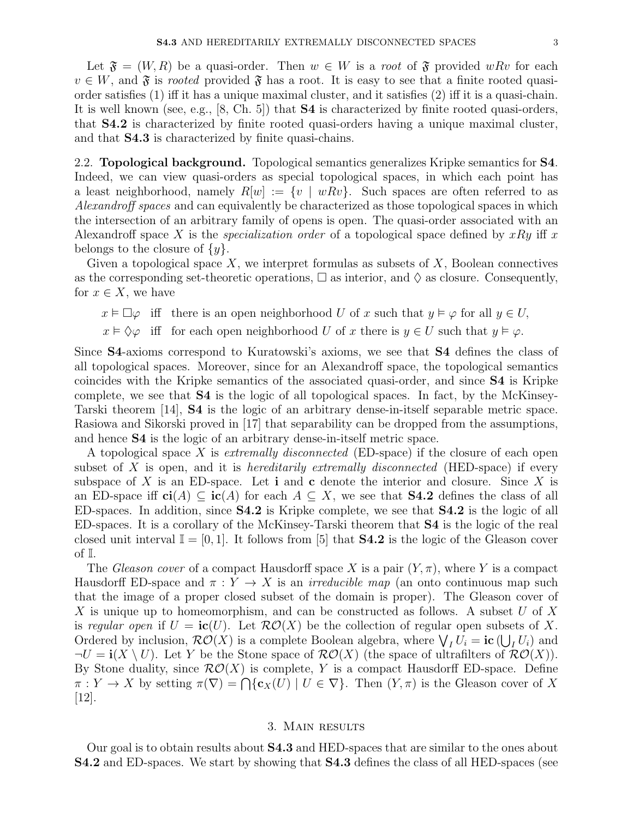Let  $\mathfrak{F} = (W, R)$  be a quasi-order. Then  $w \in W$  is a root of  $\mathfrak{F}$  provided wRv for each  $v \in W$ , and  $\mathfrak F$  is rooted provided  $\mathfrak F$  has a root. It is easy to see that a finite rooted quasiorder satisfies (1) iff it has a unique maximal cluster, and it satisfies (2) iff it is a quasi-chain. It is well known (see, e.g., [8, Ch. 5]) that S4 is characterized by finite rooted quasi-orders, that S4.2 is characterized by finite rooted quasi-orders having a unique maximal cluster, and that S4.3 is characterized by finite quasi-chains.

2.2. **Topological background.** Topological semantics generalizes Kripke semantics for **S4**. Indeed, we can view quasi-orders as special topological spaces, in which each point has a least neighborhood, namely  $R[w] := \{v \mid wRv\}$ . Such spaces are often referred to as Alexandroff spaces and can equivalently be characterized as those topological spaces in which the intersection of an arbitrary family of opens is open. The quasi-order associated with an Alexandroff space X is the *specialization order* of a topological space defined by  $xRy$  iff x belongs to the closure of  $\{y\}.$ 

Given a topological space  $X$ , we interpret formulas as subsets of  $X$ , Boolean connectives as the corresponding set-theoretic operations,  $\Box$  as interior, and  $\Diamond$  as closure. Consequently, for  $x \in X$ , we have

 $x \vDash \Box \varphi$  iff there is an open neighborhood U of x such that  $y \vDash \varphi$  for all  $y \in U$ ,

 $x \vDash \Diamond \varphi$  iff for each open neighborhood U of x there is  $y \in U$  such that  $y \vDash \varphi$ .

Since S4-axioms correspond to Kuratowski's axioms, we see that S4 defines the class of all topological spaces. Moreover, since for an Alexandroff space, the topological semantics coincides with the Kripke semantics of the associated quasi-order, and since S4 is Kripke complete, we see that S4 is the logic of all topological spaces. In fact, by the McKinsey-Tarski theorem [14], S4 is the logic of an arbitrary dense-in-itself separable metric space. Rasiowa and Sikorski proved in [17] that separability can be dropped from the assumptions, and hence S4 is the logic of an arbitrary dense-in-itself metric space.

A topological space X is extremally disconnected (ED-space) if the closure of each open subset of X is open, and it is *hereditarily extremally disconnected* (HED-space) if every subspace of X is an ED-space. Let **i** and **c** denote the interior and closure. Since X is an ED-space iff  $ci(A) \subseteq ic(A)$  for each  $A \subseteq X$ , we see that **S4.2** defines the class of all ED-spaces. In addition, since S4.2 is Kripke complete, we see that S4.2 is the logic of all ED-spaces. It is a corollary of the McKinsey-Tarski theorem that S4 is the logic of the real closed unit interval  $\mathbb{I} = [0, 1]$ . It follows from [5] that **S4.2** is the logic of the Gleason cover of I.

The Gleason cover of a compact Hausdorff space X is a pair  $(Y, \pi)$ , where Y is a compact Hausdorff ED-space and  $\pi: Y \to X$  is an *irreducible map* (an onto continuous map such that the image of a proper closed subset of the domain is proper). The Gleason cover of X is unique up to homeomorphism, and can be constructed as follows. A subset U of X is regular open if  $U = ic(U)$ . Let  $RO(X)$  be the collection of regular open subsets of X. Ordered by inclusion,  $\mathcal{RO}(X)$  is a complete Boolean algebra, where  $\bigvee_I U_i = \textbf{ic} \left( \bigcup_I U_i \right)$  and  $\neg U = \mathbf{i}(X \setminus U)$ . Let Y be the Stone space of  $\mathcal{RO}(X)$  (the space of ultrafilters of  $\mathcal{RO}(X)$ ). By Stone duality, since  $\mathcal{RO}(X)$  is complete, Y is a compact Hausdorff ED-space. Define  $\pi: Y \to X$  by setting  $\pi(\nabla) = \bigcap \{c_X(U) \mid U \in \nabla\}$ . Then  $(Y, \pi)$  is the Gleason cover of X [12].

## 3. Main results

Our goal is to obtain results about S4.3 and HED-spaces that are similar to the ones about S4.2 and ED-spaces. We start by showing that S4.3 defines the class of all HED-spaces (see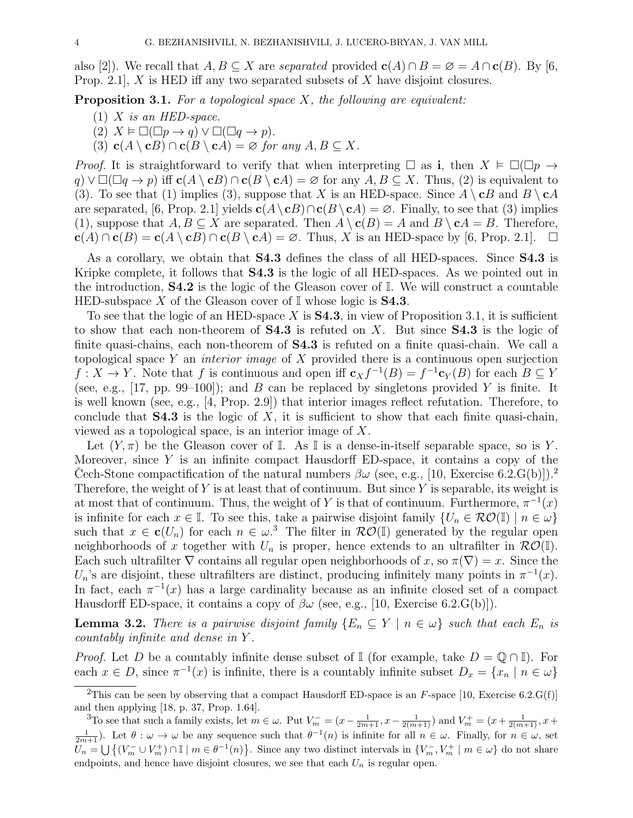also [2]). We recall that  $A, B \subseteq X$  are separated provided  $c(A) \cap B = \emptyset = A \cap c(B)$ . By [6, Prop. 2.1, X is HED iff any two separated subsets of X have disjoint closures.

**Proposition 3.1.** For a topological space  $X$ , the following are equivalent:

- $(1)$  X is an HED-space.
- (2)  $X \models \Box(\Box p \rightarrow q) \lor \Box(\Box q \rightarrow p).$
- (3)  $c(A \setminus cB) \cap c(B \setminus cA) = \emptyset$  for any  $A, B \subseteq X$ .

*Proof.* It is straightforward to verify that when interpreting  $\Box$  as i, then  $X \models \Box(\Box p \rightarrow$  $q \in (q \cup q) \cup \Box$  ( $q \rightarrow p$ ) iff  $c(A \setminus cB) \cap c(B \setminus cA) = \emptyset$  for any  $A, B \subseteq X$ . Thus, (2) is equivalent to (3). To see that (1) implies (3), suppose that X is an HED-space. Since  $A \setminus cB$  and  $B \setminus cA$ are separated, [6, Prop. 2.1] yields  $c(A \setminus cB) \cap c(B \setminus cA) = \emptyset$ . Finally, to see that (3) implies (1), suppose that  $A, B \subseteq X$  are separated. Then  $A \setminus c(B) = A$  and  $B \setminus cA = B$ . Therefore,  $\mathbf{c}(A) \cap \mathbf{c}(B) = \mathbf{c}(A \setminus \mathbf{c}B) \cap \mathbf{c}(B \setminus \mathbf{c}A) = \varnothing$ . Thus, X is an HED-space by [6, Prop. 2.1].  $\Box$ 

As a corollary, we obtain that **S4.3** defines the class of all HED-spaces. Since **S4.3** is Kripke complete, it follows that S4.3 is the logic of all HED-spaces. As we pointed out in the introduction, S4.2 is the logic of the Gleason cover of I. We will construct a countable HED-subspace X of the Gleason cover of  $\mathbb I$  whose logic is **S4.3**.

To see that the logic of an HED-space X is  $S4.3$ , in view of Proposition 3.1, it is sufficient to show that each non-theorem of  $S4.3$  is refuted on X. But since  $S4.3$  is the logic of finite quasi-chains, each non-theorem of S4.3 is refuted on a finite quasi-chain. We call a topological space Y an *interior image* of X provided there is a continuous open surjection  $f: X \to Y$ . Note that f is continuous and open iff  $c_X f^{-1}(B) = f^{-1}c_Y(B)$  for each  $B \subseteq Y$ (see, e.g., [17, pp. 99–100]); and B can be replaced by singletons provided Y is finite. It is well known (see, e.g., [4, Prop. 2.9]) that interior images reflect refutation. Therefore, to conclude that  $S4.3$  is the logic of X, it is sufficient to show that each finite quasi-chain, viewed as a topological space, is an interior image of X.

Let  $(Y, \pi)$  be the Gleason cover of I. As I is a dense-in-itself separable space, so is Y. Moreover, since  $Y$  is an infinite compact Hausdorff ED-space, it contains a copy of the Cech-Stone compactification of the natural numbers  $\beta\omega$  (see, e.g., [10, Exercise 6.2.G(b)]).<sup>2</sup> Therefore, the weight of  $Y$  is at least that of continuum. But since  $Y$  is separable, its weight is at most that of continuum. Thus, the weight of Y is that of continuum. Furthermore,  $\pi^{-1}(x)$ is infinite for each  $x \in \mathbb{I}$ . To see this, take a pairwise disjoint family  $\{U_n \in \mathcal{RO}(\mathbb{I}) \mid n \in \omega\}$ such that  $x \in \mathbf{c}(U_n)$  for each  $n \in \omega$ <sup>3</sup>. The filter in  $\mathcal{RO}(\mathbb{I})$  generated by the regular open neighborhoods of x together with  $U_n$  is proper, hence extends to an ultrafilter in  $\mathcal{RO}(\mathbb{I}).$ Each such ultrafilter  $\nabla$  contains all regular open neighborhoods of x, so  $\pi(\nabla) = x$ . Since the  $U_n$ 's are disjoint, these ultrafilters are distinct, producing infinitely many points in  $\pi^{-1}(x)$ . In fact, each  $\pi^{-1}(x)$  has a large cardinality because as an infinite closed set of a compact Hausdorff ED-space, it contains a copy of  $\beta\omega$  (see, e.g., [10, Exercise 6.2.G(b)]).

**Lemma 3.2.** There is a pairwise disjoint family  $\{E_n \subseteq Y \mid n \in \omega\}$  such that each  $E_n$  is countably infinite and dense in Y .

*Proof.* Let D be a countably infinite dense subset of I (for example, take  $D = \mathbb{Q} \cap \mathbb{I}$ ). For each  $x \in D$ , since  $\pi^{-1}(x)$  is infinite, there is a countably infinite subset  $D_x = \{x_n \mid n \in \omega\}$ 

<sup>&</sup>lt;sup>2</sup>This can be seen by observing that a compact Hausdorff ED-space is an  $F$ -space [10, Exercise 6.2.G(f)] and then applying [18, p. 37, Prop. 1.64].

<sup>&</sup>lt;sup>3</sup>To see that such a family exists, let  $m \in \omega$ . Put  $V_m^- = (x - \frac{1}{2m+1}, x - \frac{1}{2(m+1)})$  and  $V_m^+ = (x + \frac{1}{2(m+1)}, x + \frac{1}{2(m+1)})$  $\frac{1}{2m+1}$ ). Let  $\theta : \omega \to \omega$  be any sequence such that  $\theta^{-1}(n)$  is infinite for all  $n \in \omega$ . Finally, for  $n \in \omega$ , set  $U_n = \bigcup \{ (V_m^- \cup V_m^+) \cap \mathbb{I} \mid m \in \theta^{-1}(n) \}.$  Since any two distinct intervals in  $\{V_m^-, V_m^+ \mid m \in \omega \}$  do not share endpoints, and hence have disjoint closures, we see that each  $U_n$  is regular open.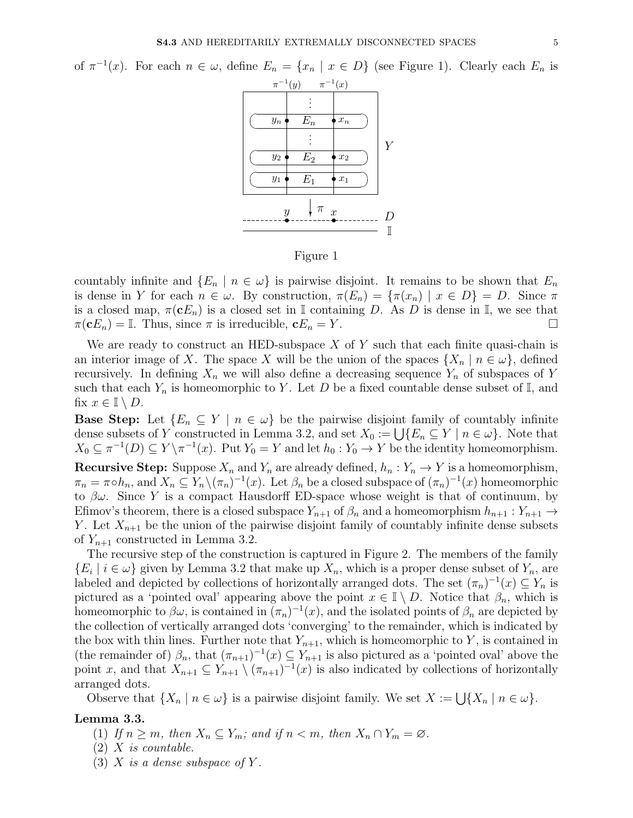of  $\pi^{-1}(x)$ . For each  $n \in \omega$ , define  $E_n = \{x_n \mid x \in D\}$  (see Figure 1). Clearly each  $E_n$  is



Figure 1

countably infinite and  $\{E_n \mid n \in \omega\}$  is pairwise disjoint. It remains to be shown that  $E_n$ is dense in Y for each  $n \in \omega$ . By construction,  $\pi(E_n) = {\pi(x_n) | x \in D} = D$ . Since  $\pi$ is a closed map,  $\pi(\mathbf{c}E_n)$  is a closed set in I containing D. As D is dense in I, we see that  $\pi(\mathbf{c}E_n) = \mathbb{I}$ . Thus, since  $\pi$  is irreducible,  $\mathbf{c}E_n = Y$ .

We are ready to construct an HED-subspace  $X$  of  $Y$  such that each finite quasi-chain is an interior image of X. The space X will be the union of the spaces  $\{X_n \mid n \in \omega\}$ , defined recursively. In defining  $X_n$  we will also define a decreasing sequence  $Y_n$  of subspaces of Y such that each  $Y_n$  is homeomorphic to Y. Let D be a fixed countable dense subset of  $\mathbb{I}$ , and fix  $x \in \mathbb{I} \setminus D$ .

**Base Step:** Let  $\{E_n \subseteq Y \mid n \in \omega\}$  be the pairwise disjoint family of countably infinite dense subsets of Y constructed in Lemma 3.2, and set  $X_0 := \bigcup \{ E_n \subseteq Y \mid n \in \omega \}$ . Note that  $X_0 \subseteq \pi^{-1}(D) \subseteq Y \setminus \pi^{-1}(x)$ . Put  $Y_0 = Y$  and let  $h_0 : Y_0 \to Y$  be the identity homeomorphism.

**Recursive Step:** Suppose  $X_n$  and  $Y_n$  are already defined,  $h_n: Y_n \to Y$  is a homeomorphism,  $\pi_n = \pi \circ h_n$ , and  $X_n \subseteq Y_n \setminus (\pi_n)^{-1}(x)$ . Let  $\beta_n$  be a closed subspace of  $(\pi_n)^{-1}(x)$  homeomorphic to  $\beta\omega$ . Since Y is a compact Hausdorff ED-space whose weight is that of continuum, by Efimov's theorem, there is a closed subspace  $Y_{n+1}$  of  $\beta_n$  and a homeomorphism  $h_{n+1}: Y_{n+1} \to Y_{n+1}$ Y. Let  $X_{n+1}$  be the union of the pairwise disjoint family of countably infinite dense subsets of  $Y_{n+1}$  constructed in Lemma 3.2.

The recursive step of the construction is captured in Figure 2. The members of the family  $\{E_i \mid i \in \omega\}$  given by Lemma 3.2 that make up  $X_n$ , which is a proper dense subset of  $Y_n$ , are labeled and depicted by collections of horizontally arranged dots. The set  $(\pi_n)^{-1}(x) \subseteq Y_n$  is pictured as a 'pointed oval' appearing above the point  $x \in \mathbb{I} \setminus D$ . Notice that  $\beta_n$ , which is homeomorphic to  $\beta\omega$ , is contained in  $(\pi_n)^{-1}(x)$ , and the isolated points of  $\beta_n$  are depicted by the collection of vertically arranged dots 'converging' to the remainder, which is indicated by the box with thin lines. Further note that  $Y_{n+1}$ , which is homeomorphic to Y, is contained in (the remainder of)  $\beta_n$ , that  $(\pi_{n+1})^{-1}(x) \subseteq Y_{n+1}$  is also pictured as a 'pointed oval' above the point x, and that  $X_{n+1} \subseteq Y_{n+1} \setminus (\pi_{n+1})^{-1}(x)$  is also indicated by collections of horizontally arranged dots.

Observe that  $\{X_n \mid n \in \omega\}$  is a pairwise disjoint family. We set  $X := \bigcup \{X_n \mid n \in \omega\}.$ 

#### Lemma 3.3.

- (1) If  $n \geq m$ , then  $X_n \subseteq Y_m$ ; and if  $n < m$ , then  $X_n \cap Y_m = \emptyset$ .
- $(2)$  X is countable.
- (3) X is a dense subspace of Y.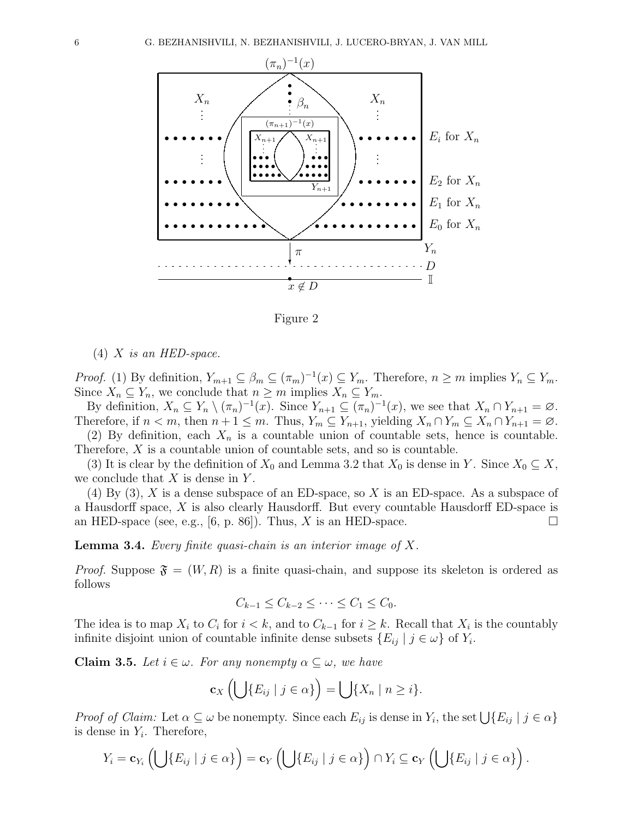

Figure 2

 $(4)$  X is an HED-space.

*Proof.* (1) By definition,  $Y_{m+1} \subseteq \beta_m \subseteq (\pi_m)^{-1}(x) \subseteq Y_m$ . Therefore,  $n \geq m$  implies  $Y_n \subseteq Y_m$ . Since  $X_n \subseteq Y_n$ , we conclude that  $n \geq m$  implies  $X_n \subseteq Y_m$ .

By definition,  $X_n \subseteq Y_n \setminus (\pi_n)^{-1}(x)$ . Since  $Y_{n+1} \subseteq (\pi_n)^{-1}(x)$ , we see that  $X_n \cap Y_{n+1} = \emptyset$ . Therefore, if  $n < m$ , then  $n + 1 \leq m$ . Thus,  $Y_m \subseteq Y_{n+1}$ , yielding  $X_n \cap Y_m \subseteq X_n \cap Y_{n+1} = \emptyset$ . (2) By definition, each  $X_n$  is a countable union of countable sets, hence is countable.

Therefore,  $X$  is a countable union of countable sets, and so is countable.

(3) It is clear by the definition of  $X_0$  and Lemma 3.2 that  $X_0$  is dense in Y. Since  $X_0 \subseteq X$ , we conclude that  $X$  is dense in  $Y$ .

 $(4)$  By  $(3)$ , X is a dense subspace of an ED-space, so X is an ED-space. As a subspace of a Hausdorff space, X is also clearly Hausdorff. But every countable Hausdorff ED-space is an HED-space (see, e.g., [6, p. 86]). Thus, X is an HED-space.

**Lemma 3.4.** Every finite quasi-chain is an interior image of  $X$ .

*Proof.* Suppose  $\mathfrak{F} = (W, R)$  is a finite quasi-chain, and suppose its skeleton is ordered as follows

$$
C_{k-1} \leq C_{k-2} \leq \cdots \leq C_1 \leq C_0.
$$

The idea is to map  $X_i$  to  $C_i$  for  $i < k$ , and to  $C_{k-1}$  for  $i \geq k$ . Recall that  $X_i$  is the countably infinite disjoint union of countable infinite dense subsets  $\{E_{ij} | j \in \omega\}$  of  $Y_i$ .

**Claim 3.5.** Let  $i \in \omega$ . For any nonempty  $\alpha \subseteq \omega$ , we have

$$
\mathbf{c}_X\left(\bigcup\{E_{ij}\mid j\in\alpha\}\right)=\bigcup\{X_n\mid n\geq i\}.
$$

*Proof of Claim:* Let  $\alpha \subseteq \omega$  be nonempty. Since each  $E_{ij}$  is dense in  $Y_i$ , the set  $\bigcup \{E_{ij} | j \in \alpha\}$ is dense in  $Y_i$ . Therefore,

$$
Y_i = \mathbf{c}_{Y_i} \left( \bigcup \{ E_{ij} \mid j \in \alpha \} \right) = \mathbf{c}_{Y} \left( \bigcup \{ E_{ij} \mid j \in \alpha \} \right) \cap Y_i \subseteq \mathbf{c}_{Y} \left( \bigcup \{ E_{ij} \mid j \in \alpha \} \right).
$$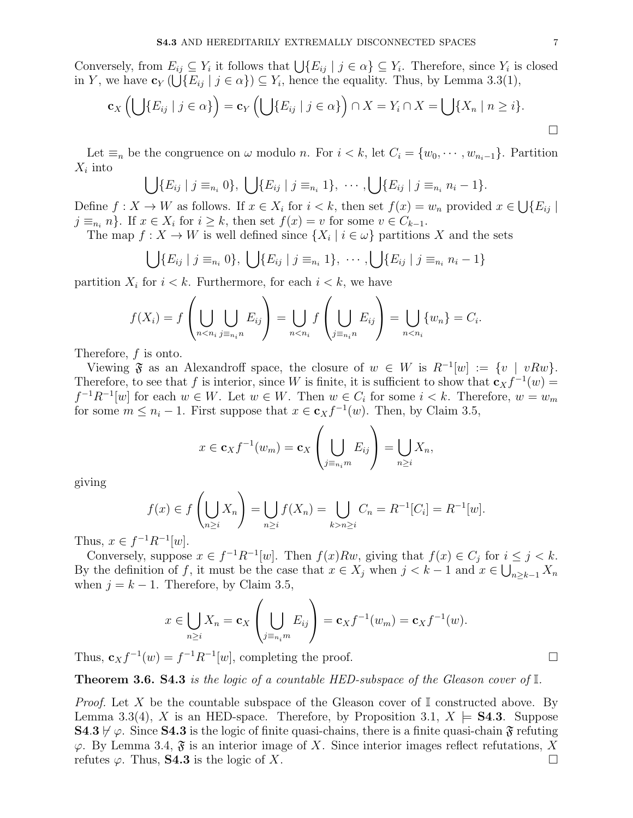Conversely, from  $E_{ij} \subseteq Y_i$  it follows that  $\bigcup \{E_{ij} \mid j \in \alpha\} \subseteq Y_i$ . Therefore, since  $Y_i$  is closed in Y, we have  $\mathbf{c}_Y(\bigcup \{E_{ij} \mid j \in \alpha\}) \subseteq Y_i$ , hence the equality. Thus, by Lemma 3.3(1),

$$
\mathbf{c}_X\left(\bigcup\{E_{ij}\mid j\in\alpha\}\right)=\mathbf{c}_Y\left(\bigcup\{E_{ij}\mid j\in\alpha\}\right)\cap X=Y_i\cap X=\bigcup\{X_n\mid n\geq i\}.
$$

Let  $\equiv_n$  be the congruence on  $\omega$  modulo n. For  $i < k$ , let  $C_i = \{w_0, \dots, w_{n_i-1}\}$ . Partition  $X_i$  into

$$
\bigcup \{E_{ij} \mid j \equiv_{n_i} 0\}, \bigcup \{E_{ij} \mid j \equiv_{n_i} 1\}, \cdots, \bigcup \{E_{ij} \mid j \equiv_{n_i} n_i - 1\}.
$$

Define  $f: X \to W$  as follows. If  $x \in X_i$  for  $i < k$ , then set  $f(x) = w_n$  provided  $x \in \bigcup \{E_{ij} \mid$  $j \equiv_{n_i} n$ . If  $x \in X_i$  for  $i \geq k$ , then set  $f(x) = v$  for some  $v \in C_{k-1}$ .

The map  $f: X \to W$  is well defined since  $\{X_i \mid i \in \omega\}$  partitions X and the sets

$$
\bigcup \{ E_{ij} \mid j \equiv_{n_i} 0 \}, \bigcup \{ E_{ij} \mid j \equiv_{n_i} 1 \}, \cdots, \bigcup \{ E_{ij} \mid j \equiv_{n_i} n_i - 1 \}
$$

partition  $X_i$  for  $i < k$ . Furthermore, for each  $i < k$ , we have

$$
f(X_i) = f\left(\bigcup_{n < n_i} \bigcup_{j \equiv n_i n} E_{ij}\right) = \bigcup_{n < n_i} f\left(\bigcup_{j \equiv n_i n} E_{ij}\right) = \bigcup_{n < n_i} \{w_n\} = C_i.
$$

Therefore, f is onto.

Viewing  $\mathfrak{F}$  as an Alexandroff space, the closure of  $w \in W$  is  $R^{-1}[w] := \{v \mid vRw\}.$ Therefore, to see that f is interior, since W is finite, it is sufficient to show that  $c_Xf^{-1}(w)$  =  $f^{-1}R^{-1}[w]$  for each  $w \in W$ . Let  $w \in W$ . Then  $w \in C_i$  for some  $i < k$ . Therefore,  $w = w_m$ for some  $m \leq n_i - 1$ . First suppose that  $x \in \mathbf{c}_X f^{-1}(w)$ . Then, by Claim 3.5,

$$
x \in \mathbf{c}_X f^{-1}(w_m) = \mathbf{c}_X \left( \bigcup_{j \equiv n_i m} E_{ij} \right) = \bigcup_{n \ge i} X_n,
$$

giving

$$
f(x) \in f\left(\bigcup_{n \ge i} X_n\right) = \bigcup_{n \ge i} f(X_n) = \bigcup_{k > n \ge i} C_n = R^{-1}[C_i] = R^{-1}[w].
$$

Thus,  $x \in f^{-1}R^{-1}[w]$ .

Conversely, suppose  $x \in f^{-1}R^{-1}[w]$ . Then  $f(x)Rw$ , giving that  $f(x) \in C_j$  for  $i \leq j < k$ . By the definition of f, it must be the case that  $x \in X_j$  when  $j < k-1$  and  $x \in \bigcup_{n \geq k-1} X_n$ when  $j = k - 1$ . Therefore, by Claim 3.5,

$$
x \in \bigcup_{n \geq i} X_n = \mathbf{c}_X \left( \bigcup_{j \equiv n_i m} E_{ij} \right) = \mathbf{c}_X f^{-1}(w_m) = \mathbf{c}_X f^{-1}(w).
$$

Thus,  $\mathbf{c}_X f^{-1}(w) = f^{-1} R^{-1}[w]$ , completing the proof.

**Theorem 3.6. S4.3** is the logic of a countable HED-subspace of the Gleason cover of  $\mathbb{I}$ .

*Proof.* Let X be the countable subspace of the Gleason cover of  $\mathbb{I}$  constructed above. By Lemma 3.3(4), X is an HED-space. Therefore, by Proposition 3.1,  $X \models S4.3$ . Suppose  $\mathbf{S4.3} \not\vdash \varphi$ . Since  $\mathbf{S4.3}$  is the logic of finite quasi-chains, there is a finite quasi-chain  $\mathfrak{F}$  refuting  $\varphi$ . By Lemma 3.4,  $\mathfrak{F}$  is an interior image of X. Since interior images reflect refutations, X refutes  $\varphi$ . Thus, **S4.3** is the logic of X.